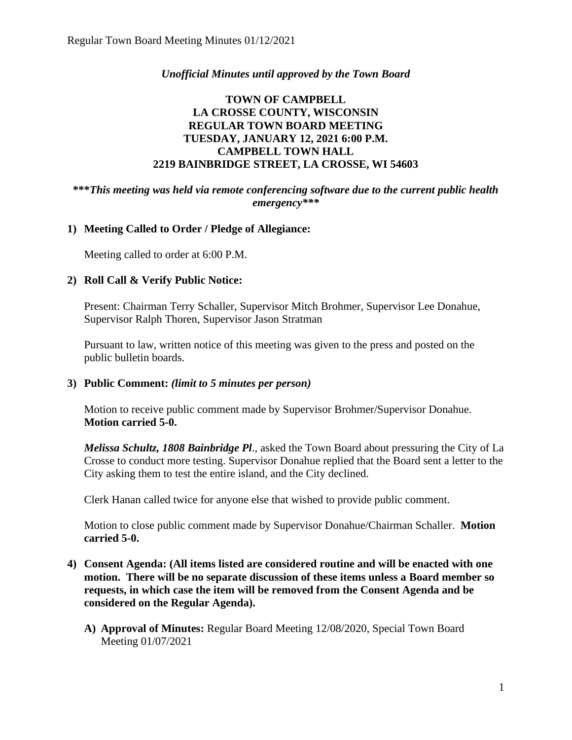# *Unofficial Minutes until approved by the Town Board*

## **TOWN OF CAMPBELL LA CROSSE COUNTY, WISCONSIN REGULAR TOWN BOARD MEETING TUESDAY, JANUARY 12, 2021 6:00 P.M. CAMPBELL TOWN HALL 2219 BAINBRIDGE STREET, LA CROSSE, WI 54603**

## **\*\*\****This meeting was held via remote conferencing software due to the current public health emergency\*\*\**

# **1) Meeting Called to Order / Pledge of Allegiance:**

Meeting called to order at 6:00 P.M.

## **2) Roll Call & Verify Public Notice:**

Present: Chairman Terry Schaller, Supervisor Mitch Brohmer, Supervisor Lee Donahue, Supervisor Ralph Thoren, Supervisor Jason Stratman

Pursuant to law, written notice of this meeting was given to the press and posted on the public bulletin boards.

### **3) Public Comment:** *(limit to 5 minutes per person)*

Motion to receive public comment made by Supervisor Brohmer/Supervisor Donahue. **Motion carried 5-0.**

*Melissa Schultz, 1808 Bainbridge Pl*., asked the Town Board about pressuring the City of La Crosse to conduct more testing. Supervisor Donahue replied that the Board sent a letter to the City asking them to test the entire island, and the City declined.

Clerk Hanan called twice for anyone else that wished to provide public comment.

Motion to close public comment made by Supervisor Donahue/Chairman Schaller. **Motion carried 5-0.**

- **4) Consent Agenda: (All items listed are considered routine and will be enacted with one motion. There will be no separate discussion of these items unless a Board member so requests, in which case the item will be removed from the Consent Agenda and be considered on the Regular Agenda).**
	- **A) Approval of Minutes:** Regular Board Meeting 12/08/2020, Special Town Board Meeting 01/07/2021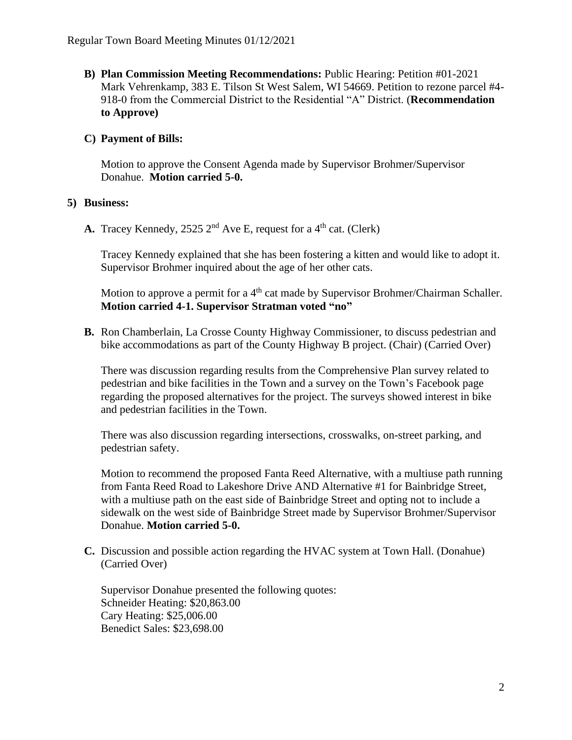**B) Plan Commission Meeting Recommendations:** Public Hearing: Petition #01-2021 Mark Vehrenkamp, 383 E. Tilson St West Salem, WI 54669. Petition to rezone parcel #4- 918-0 from the Commercial District to the Residential "A" District. (**Recommendation to Approve)**

## **C) Payment of Bills:**

Motion to approve the Consent Agenda made by Supervisor Brohmer/Supervisor Donahue. **Motion carried 5-0.**

### **5) Business:**

**A.** Tracey Kennedy, 2525  $2<sup>nd</sup>$  Ave E, request for a 4<sup>th</sup> cat. (Clerk)

Tracey Kennedy explained that she has been fostering a kitten and would like to adopt it. Supervisor Brohmer inquired about the age of her other cats.

Motion to approve a permit for a 4<sup>th</sup> cat made by Supervisor Brohmer/Chairman Schaller. **Motion carried 4-1. Supervisor Stratman voted "no"**

**B.** Ron Chamberlain, La Crosse County Highway Commissioner, to discuss pedestrian and bike accommodations as part of the County Highway B project. (Chair) (Carried Over)

There was discussion regarding results from the Comprehensive Plan survey related to pedestrian and bike facilities in the Town and a survey on the Town's Facebook page regarding the proposed alternatives for the project. The surveys showed interest in bike and pedestrian facilities in the Town.

There was also discussion regarding intersections, crosswalks, on-street parking, and pedestrian safety.

Motion to recommend the proposed Fanta Reed Alternative, with a multiuse path running from Fanta Reed Road to Lakeshore Drive AND Alternative #1 for Bainbridge Street, with a multiuse path on the east side of Bainbridge Street and opting not to include a sidewalk on the west side of Bainbridge Street made by Supervisor Brohmer/Supervisor Donahue. **Motion carried 5-0.**

**C.** Discussion and possible action regarding the HVAC system at Town Hall. (Donahue) (Carried Over)

Supervisor Donahue presented the following quotes: Schneider Heating: \$20,863.00 Cary Heating: \$25,006.00 Benedict Sales: \$23,698.00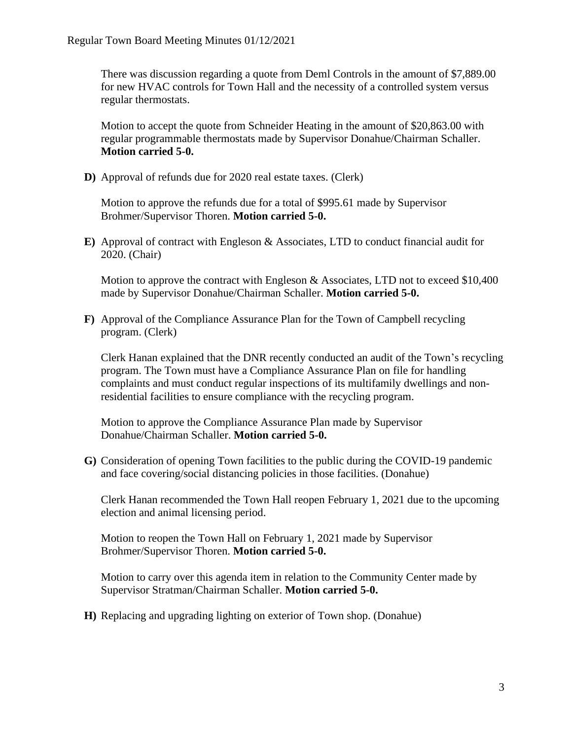There was discussion regarding a quote from Deml Controls in the amount of \$7,889.00 for new HVAC controls for Town Hall and the necessity of a controlled system versus regular thermostats.

Motion to accept the quote from Schneider Heating in the amount of \$20,863.00 with regular programmable thermostats made by Supervisor Donahue/Chairman Schaller. **Motion carried 5-0.** 

**D)** Approval of refunds due for 2020 real estate taxes. (Clerk)

Motion to approve the refunds due for a total of \$995.61 made by Supervisor Brohmer/Supervisor Thoren. **Motion carried 5-0.**

**E)** Approval of contract with Engleson & Associates, LTD to conduct financial audit for 2020. (Chair)

Motion to approve the contract with Engleson & Associates, LTD not to exceed \$10,400 made by Supervisor Donahue/Chairman Schaller. **Motion carried 5-0.**

**F)** Approval of the Compliance Assurance Plan for the Town of Campbell recycling program. (Clerk)

Clerk Hanan explained that the DNR recently conducted an audit of the Town's recycling program. The Town must have a Compliance Assurance Plan on file for handling complaints and must conduct regular inspections of its multifamily dwellings and nonresidential facilities to ensure compliance with the recycling program.

Motion to approve the Compliance Assurance Plan made by Supervisor Donahue/Chairman Schaller. **Motion carried 5-0.** 

**G)** Consideration of opening Town facilities to the public during the COVID-19 pandemic and face covering/social distancing policies in those facilities. (Donahue)

Clerk Hanan recommended the Town Hall reopen February 1, 2021 due to the upcoming election and animal licensing period.

Motion to reopen the Town Hall on February 1, 2021 made by Supervisor Brohmer/Supervisor Thoren. **Motion carried 5-0.**

Motion to carry over this agenda item in relation to the Community Center made by Supervisor Stratman/Chairman Schaller. **Motion carried 5-0.**

**H)** Replacing and upgrading lighting on exterior of Town shop. (Donahue)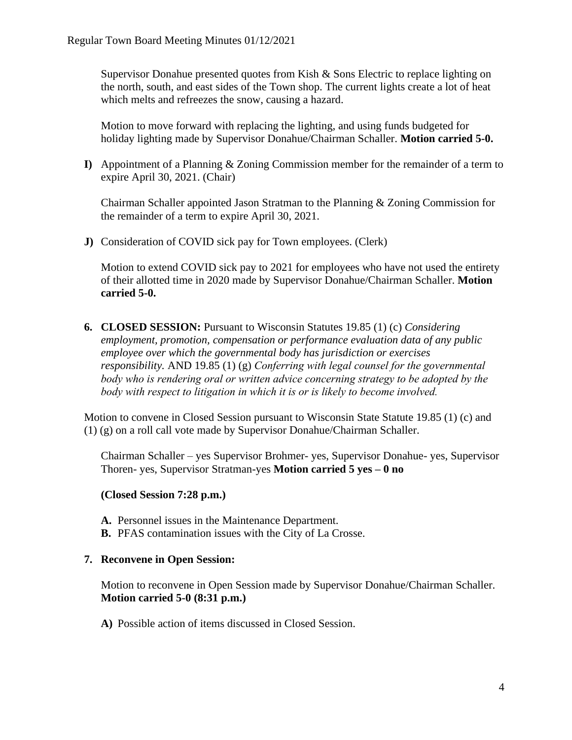Supervisor Donahue presented quotes from Kish & Sons Electric to replace lighting on the north, south, and east sides of the Town shop. The current lights create a lot of heat which melts and refreezes the snow, causing a hazard.

Motion to move forward with replacing the lighting, and using funds budgeted for holiday lighting made by Supervisor Donahue/Chairman Schaller. **Motion carried 5-0.**

**I)** Appointment of a Planning & Zoning Commission member for the remainder of a term to expire April 30, 2021. (Chair)

Chairman Schaller appointed Jason Stratman to the Planning & Zoning Commission for the remainder of a term to expire April 30, 2021.

**J)** Consideration of COVID sick pay for Town employees. (Clerk)

Motion to extend COVID sick pay to 2021 for employees who have not used the entirety of their allotted time in 2020 made by Supervisor Donahue/Chairman Schaller. **Motion carried 5-0.**

**6. CLOSED SESSION:** Pursuant to Wisconsin Statutes 19.85 (1) (c) *Considering employment, promotion, compensation or performance evaluation data of any public employee over which the governmental body has jurisdiction or exercises responsibility.* AND 19.85 (1) (g) *Conferring with legal counsel for the governmental body who is rendering oral or written advice concerning strategy to be adopted by the body with respect to litigation in which it is or is likely to become involved.*

Motion to convene in Closed Session pursuant to Wisconsin State Statute 19.85 (1) (c) and (1) (g) on a roll call vote made by Supervisor Donahue/Chairman Schaller.

Chairman Schaller – yes Supervisor Brohmer- yes, Supervisor Donahue- yes, Supervisor Thoren- yes, Supervisor Stratman-yes **Motion carried 5 yes – 0 no** 

### **(Closed Session 7:28 p.m.)**

- **A.** Personnel issues in the Maintenance Department.
- **B.** PFAS contamination issues with the City of La Crosse.

### **7. Reconvene in Open Session:**

Motion to reconvene in Open Session made by Supervisor Donahue/Chairman Schaller. **Motion carried 5-0 (8:31 p.m.)** 

**A)** Possible action of items discussed in Closed Session.